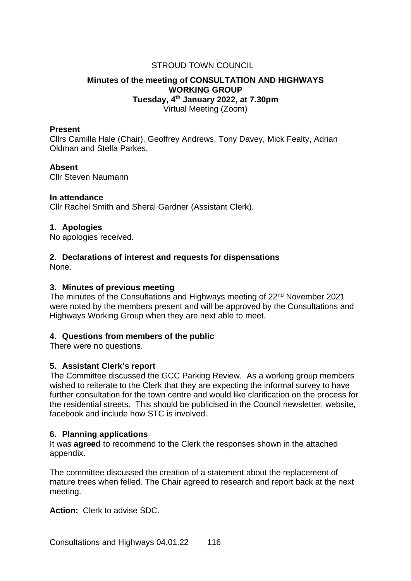# STROUD TOWN COUNCIL

# **Minutes of the meeting of CONSULTATION AND HIGHWAYS WORKING GROUP Tuesday, 4th January 2022, at 7.30pm** Virtual Meeting (Zoom)

#### **Present**

Cllrs Camilla Hale (Chair), Geoffrey Andrews, Tony Davey, Mick Fealty, Adrian Oldman and Stella Parkes.

#### **Absent**

Cllr Steven Naumann

#### **In attendance**

Cllr Rachel Smith and Sheral Gardner (Assistant Clerk).

#### **1. Apologies**

No apologies received.

# **2. Declarations of interest and requests for dispensations**

None.

### **3. Minutes of previous meeting**

The minutes of the Consultations and Highways meeting of 22<sup>nd</sup> November 2021 were noted by the members present and will be approved by the Consultations and Highways Working Group when they are next able to meet.

# **4. Questions from members of the public**

There were no questions.

# **5. Assistant Clerk's report**

The Committee discussed the GCC Parking Review. As a working group members wished to reiterate to the Clerk that they are expecting the informal survey to have further consultation for the town centre and would like clarification on the process for the residential streets. This should be publicised in the Council newsletter, website, facebook and include how STC is involved.

# **6. Planning applications**

It was **agreed** to recommend to the Clerk the responses shown in the attached appendix.

The committee discussed the creation of a statement about the replacement of mature trees when felled. The Chair agreed to research and report back at the next meeting.

**Action:** Clerk to advise SDC.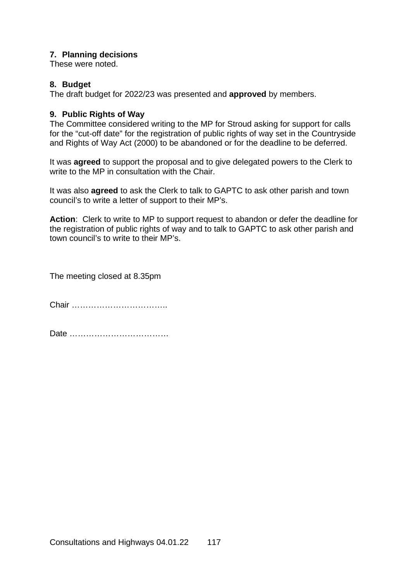# **7. Planning decisions**

These were noted.

# **8. Budget**

The draft budget for 2022/23 was presented and **approved** by members.

# **9. Public Rights of Way**

The Committee considered writing to the MP for Stroud asking for support for calls for the "cut-off date" for the registration of public rights of way set in the Countryside and Rights of Way Act (2000) to be abandoned or for the deadline to be deferred.

It was **agreed** to support the proposal and to give delegated powers to the Clerk to write to the MP in consultation with the Chair.

It was also **agreed** to ask the Clerk to talk to GAPTC to ask other parish and town council's to write a letter of support to their MP's.

**Action**: Clerk to write to MP to support request to abandon or defer the deadline for the registration of public rights of way and to talk to GAPTC to ask other parish and town council's to write to their MP's.

The meeting closed at 8.35pm

Chair ……………………………..

Date ………………………………